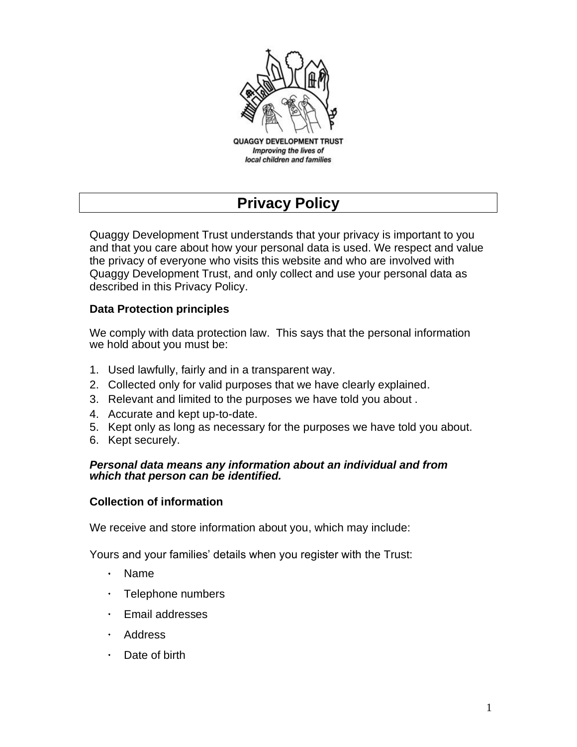

# **Privacy Policy**

Quaggy Development Trust understands that your privacy is important to you and that you care about how your personal data is used. We respect and value the privacy of everyone who visits this website and who are involved with Quaggy Development Trust, and only collect and use your personal data as described in this Privacy Policy.

#### **Data Protection principles**

We comply with data protection law. This says that the personal information we hold about you must be:

- 1. Used lawfully, fairly and in a transparent way.
- 2. Collected only for valid purposes that we have clearly explained.
- 3. Relevant and limited to the purposes we have told you about .
- 4. Accurate and kept up-to-date.
- 5. Kept only as long as necessary for the purposes we have told you about.
- 6. Kept securely.

#### *Personal data means any information about an individual and from which that person can be identified.*

#### **Collection of information**

We receive and store information about you, which may include:

Yours and your families' details when you register with the Trust:

- Name
- Telephone numbers
- Email addresses  $\bullet$  .
- Address
- Date of birth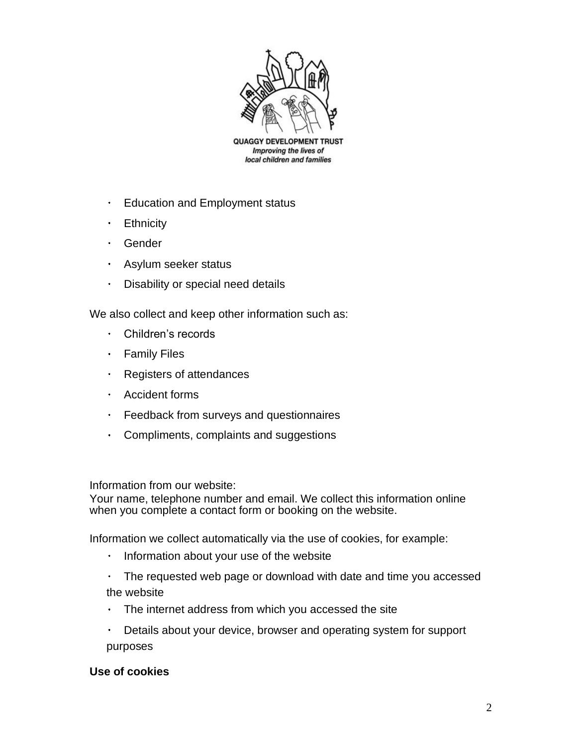

- $\bullet$ Education and Employment status
- **Ethnicity**  $\bullet$
- $\bullet$  . Gender
- Asylum seeker status  $\bullet$
- Disability or special need details  $\bullet$  .

We also collect and keep other information such as:

- Children's records
- $\cdot$  Family Files
- $\bullet$  . Registers of attendances
- Accident forms  $\bullet$  .
- Feedback from surveys and questionnaires
- Compliments, complaints and suggestions

Information from our website:

Your name, telephone number and email. We collect this information online when you complete a contact form or booking on the website.

Information we collect automatically via the use of cookies, for example:

- $\bullet$ Information about your use of the website
- $\bullet$  . The requested web page or download with date and time you accessed the website
- The internet address from which you accessed the site  $\bullet$  .
- Details about your device, browser and operating system for support purposes

## **Use of cookies**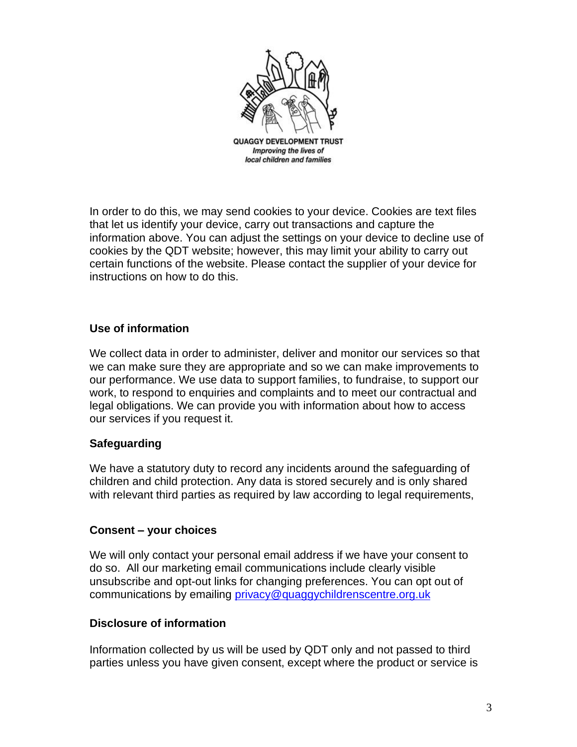

In order to do this, we may send cookies to your device. Cookies are text files that let us identify your device, carry out transactions and capture the information above. You can adjust the settings on your device to decline use of cookies by the QDT website; however, this may limit your ability to carry out certain functions of the website. Please contact the supplier of your device for instructions on how to do this.

## **Use of information**

We collect data in order to administer, deliver and monitor our services so that we can make sure they are appropriate and so we can make improvements to our performance. We use data to support families, to fundraise, to support our work, to respond to enquiries and complaints and to meet our contractual and legal obligations. We can provide you with information about how to access our services if you request it.

#### **Safeguarding**

We have a statutory duty to record any incidents around the safeguarding of children and child protection. Any data is stored securely and is only shared with relevant third parties as required by law according to legal requirements,

#### **Consent – your choices**

We will only contact your personal email address if we have your consent to do so. All our marketing email communications include clearly visible unsubscribe and opt-out links for changing preferences. You can opt out of communications by emailing [privacy@quaggychildrenscentre.org.uk](mailto:privacy@quaggychildrenscentre.org.uk)

#### **Disclosure of information**

Information collected by us will be used by QDT only and not passed to third parties unless you have given consent, except where the product or service is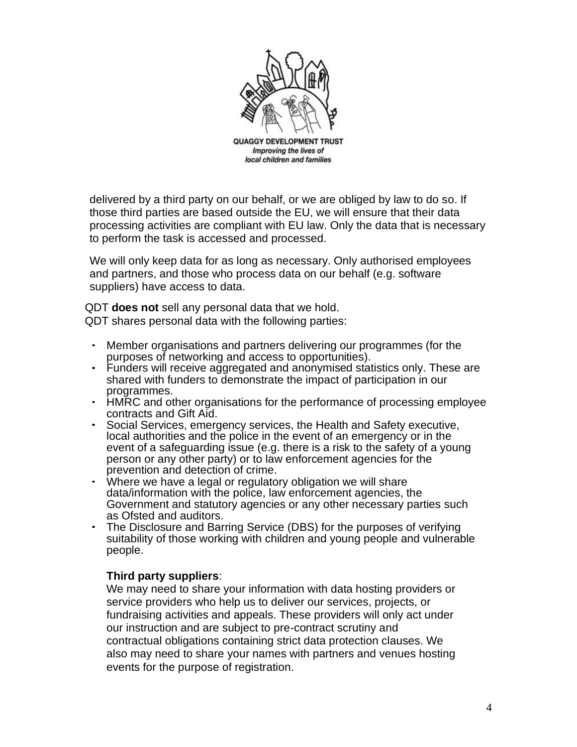

**QUAGGY DEVELOPMENT TRUST** Improving the lives of local children and families

delivered by a third party on our behalf, or we are obliged by law to do so. If those third parties are based outside the EU, we will ensure that their data processing activities are compliant with EU law. Only the data that is necessary to perform the task is accessed and processed.

We will only keep data for as long as necessary. Only authorised employees and partners, and those who process data on our behalf (e.g. software suppliers) have access to data.

QDT **does not** sell any personal data that we hold. QDT shares personal data with the following parties:

- Member organisations and partners delivering our programmes (for the purposes of networking and access to opportunities).
- Funders will receive aggregated and anonymised statistics only. These are shared with funders to demonstrate the impact of participation in our programmes.
- $\bullet$  . HMRC and other organisations for the performance of processing employee contracts and Gift Aid.
- Social Services, emergency services, the Health and Safety executive, local authorities and the police in the event of an emergency or in the event of a safeguarding issue (e.g. there is a risk to the safety of a young person or any other party) or to law enforcement agencies for the prevention and detection of crime.
- Where we have a legal or regulatory obligation we will share data/information with the police, law enforcement agencies, the Government and statutory agencies or any other necessary parties such as Ofsted and auditors.
- The Disclosure and Barring Service (DBS) for the purposes of verifying suitability of those working with children and young people and vulnerable people.

#### **Third party suppliers**:

We may need to share your information with data hosting providers or service providers who help us to deliver our services, projects, or fundraising activities and appeals. These providers will only act under our instruction and are subject to pre-contract scrutiny and contractual obligations containing strict data protection clauses. We also may need to share your names with partners and venues hosting events for the purpose of registration.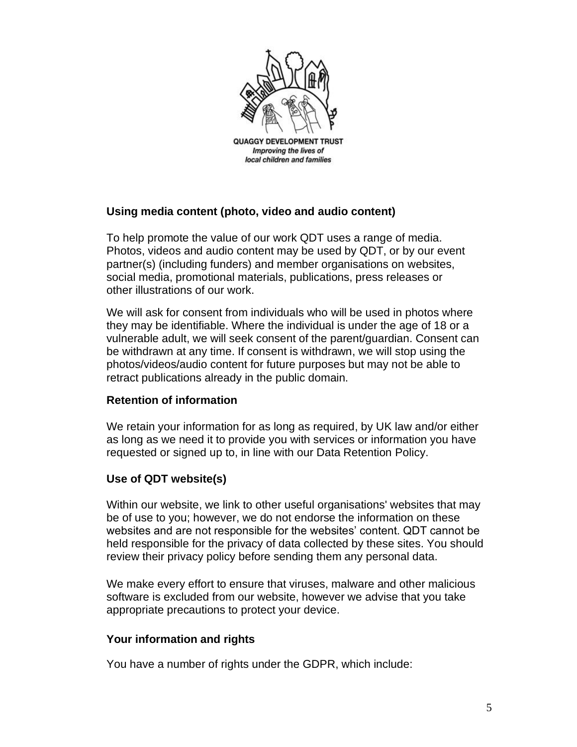

## **Using media content (photo, video and audio content)**

To help promote the value of our work QDT uses a range of media. Photos, videos and audio content may be used by QDT, or by our event partner(s) (including funders) and member organisations on websites, social media, promotional materials, publications, press releases or other illustrations of our work.

We will ask for consent from individuals who will be used in photos where they may be identifiable. Where the individual is under the age of 18 or a vulnerable adult, we will seek consent of the parent/guardian. Consent can be withdrawn at any time. If consent is withdrawn, we will stop using the photos/videos/audio content for future purposes but may not be able to retract publications already in the public domain.

#### **Retention of information**

We retain your information for as long as required, by UK law and/or either as long as we need it to provide you with services or information you have requested or signed up to, in line with our Data Retention Policy.

#### **Use of QDT website(s)**

Within our website, we link to other useful organisations' websites that may be of use to you; however, we do not endorse the information on these websites and are not responsible for the websites' content. QDT cannot be held responsible for the privacy of data collected by these sites. You should review their privacy policy before sending them any personal data.

We make every effort to ensure that viruses, malware and other malicious software is excluded from our website, however we advise that you take appropriate precautions to protect your device.

#### **Your information and rights**

You have a number of rights under the GDPR, which include: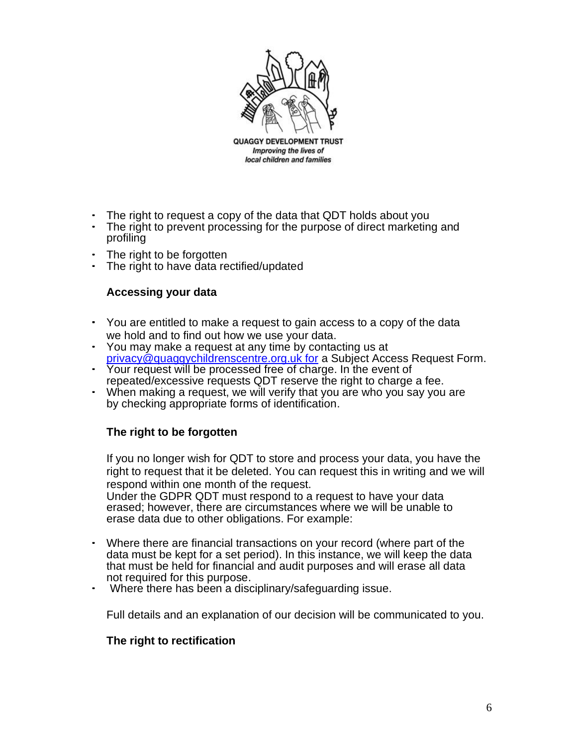

- The right to request a copy of the data that QDT holds about you
- The right to prevent processing for the purpose of direct marketing and profiling
- The right to be forgotten
- The right to have data rectified/updated

#### **Accessing your data**

- You are entitled to make a request to gain access to a copy of the data we hold and to find out how we use your data.
- You may make a request at any time by contacting us at [privacy@quaggychildrenscentre.org.uk for](mailto:privacy@quaggychildrenscentre.org.uk%20for) a Subject Access Request Form.
- Your request will be processed free of charge. In the event of repeated/excessive requests QDT reserve the right to charge a fee.
- When making a request, we will verify that you are who you say you are by checking appropriate forms of identification.

## **The right to be forgotten**

If you no longer wish for QDT to store and process your data, you have the right to request that it be deleted. You can request this in writing and we will respond within one month of the request.

Under the GDPR QDT must respond to a request to have your data erased; however, there are circumstances where we will be unable to erase data due to other obligations. For example:

- Where there are financial transactions on your record (where part of the data must be kept for a set period). In this instance, we will keep the data that must be held for financial and audit purposes and will erase all data not required for this purpose.
- Where there has been a disciplinary/safeguarding issue.

Full details and an explanation of our decision will be communicated to you.

#### **The right to rectification**